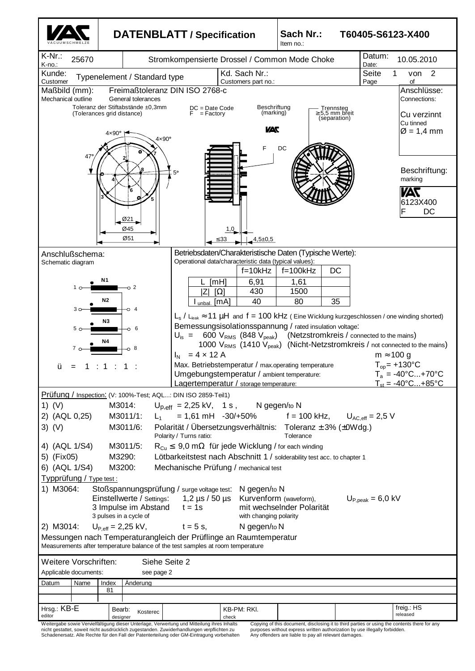

nicht gestattet, soweit nicht ausdrücklich zugestanden. Zuwiderhandlungen verpflichten zu Schadenersatz. Alle Rechte für den Fall der Patenterteilung oder GM-Eintragung vorbehalten

purposes without express written authorization by use illegally forbidden. Any offenders are liable to pay all relevant damages.